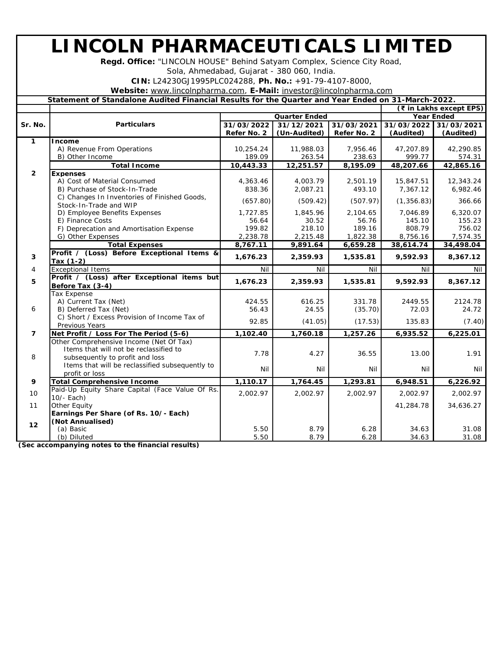## **LINCOLN PHARMACEUTICALS LIMITED**

**Regd. Office:** "LINCOLN HOUSE" Behind Satyam Complex, Science City Road,

Sola, Ahmedabad, Gujarat - 380 060, India.

**CIN:** L24230GJ1995PLC024288, **Ph. No.:** +91-79-4107-8000,

**Website:** [www.lincolnpharma.com,](http://www.lincolnpharma.com) **E-Mail:** [investor@lincolnpharma.com](mailto:investor@lincolnpharma.com)

| Statement of Standalone Audited Financial Results for the Quarter and Year Ended on 31-March-2022. |  |  |
|----------------------------------------------------------------------------------------------------|--|--|

|                |                                                                        |                      |              | (₹ in Lakhs except EPS) |                   |            |
|----------------|------------------------------------------------------------------------|----------------------|--------------|-------------------------|-------------------|------------|
|                |                                                                        | <b>Quarter Ended</b> |              |                         | <b>Year Ended</b> |            |
| Sr. No.        | <b>Particulars</b>                                                     | 31/03/2022           | 31/12/2021   | 31/03/2021              | 31/03/2022        | 31/03/2021 |
|                |                                                                        | Refer No. 2          | (Un-Audited) | Refer No. 2             | (Audited)         | (Audited)  |
| 1              | Income                                                                 |                      |              |                         |                   |            |
|                | A) Revenue From Operations                                             | 10,254.24            | 11,988.03    | 7,956.46                | 47,207.89         | 42,290.85  |
|                | B) Other Income                                                        | 189.09               | 263.54       | 238.63                  | 999.77            | 574.31     |
|                | <b>Total Income</b>                                                    | 10,443.33            | 12,251.57    | 8,195.09                | 48,207.66         | 42,865.16  |
| $\overline{2}$ | <b>Expenses</b>                                                        |                      |              |                         |                   |            |
|                | A) Cost of Material Consumed                                           | 4,363.46             | 4,003.79     | 2,501.19                | 15,847.51         | 12,343.24  |
|                | B) Purchase of Stock-In-Trade                                          | 838.36               | 2,087.21     | 493.10                  | 7,367.12          | 6,982.46   |
|                | C) Changes In Inventories of Finished Goods,<br>Stock-In-Trade and WIP | (657.80)             | (509.42)     | (507.97)                | (1, 356.83)       | 366.66     |
|                | D) Employee Benefits Expenses                                          | 1,727.85             | 1,845.96     | 2,104.65                | 7,046.89          | 6,320.07   |
|                | E) Finance Costs                                                       | 56.64                | 30.52        | 56.76                   | 145.10            | 155.23     |
|                | F) Deprecation and Amortisation Expense                                | 199.82               | 218.10       | 189.16                  | 808.79            | 756.02     |
|                | G) Other Expenses                                                      | 2,238.78             | 2,215.48     | 1,822.38                | 8,756.16          | 7,574.35   |
|                | <b>Total Expenses</b>                                                  | 8,767.11             | 9,891.64     | 6,659.28                | 38,614.74         | 34,498.04  |
| 3              | Profit / (Loss) Before Exceptional Items &<br>Tax $(1-2)$              | 1,676.23             | 2,359.93     | 1,535.81                | 9,592.93          | 8,367.12   |
| 4              | <b>Exceptional Items</b>                                               | Nil                  | Nil          | Nil                     | Nil               | Nil        |
| 5              | Profit / (Loss) after Exceptional items but<br>Before Tax (3-4)        | 1,676.23             | 2,359.93     | 1,535.81                | 9.592.93          | 8,367.12   |
|                | <b>Tax Expense</b>                                                     |                      |              |                         |                   |            |
|                | A) Current Tax (Net)                                                   | 424.55               | 616.25       | 331.78                  | 2449.55           | 2124.78    |
| 6              | B) Deferred Tax (Net)                                                  | 56.43                | 24.55        | (35.70)                 | 72.03             | 24.72      |
|                | C) Short / Excess Provision of Income Tax of                           |                      |              |                         |                   |            |
|                | <b>Previous Years</b>                                                  | 92.85                | (41.05)      | (17.53)                 | 135.83            | (7.40)     |
| $\overline{7}$ | Net Profit / Loss For The Period (5-6)                                 | 1,102.40             | 1,760.18     | 1,257.26                | 6,935.52          | 6,225.01   |
|                | Other Comprehensive Income (Net Of Tax)                                |                      |              |                         |                   |            |
|                | Items that will not be reclassified to                                 | 7.78                 | 4.27         | 36.55                   | 13.00             | 1.91       |
| 8              | subsequently to profit and loss                                        |                      |              |                         |                   |            |
|                | Items that will be reclassified subsequently to                        | Nil                  | Nil          | Nil                     | Nil               | Nil        |
|                | profit or loss                                                         |                      |              |                         |                   |            |
| 9              | <b>Total Comprehensive Income</b>                                      | 1,110.17             | 1,764.45     | 1,293.81                | 6,948.51          | 6,226.92   |
| 10             | Paid-Up Equity Share Capital (Face Value Of Rs.<br>10/- Each)          | 2,002.97             | 2,002.97     | 2,002.97                | 2,002.97          | 2,002.97   |
| 11             | <b>Other Equity</b>                                                    |                      |              |                         | 41,284.78         | 34,636.27  |
|                | Earnings Per Share (of Rs. 10/- Each)                                  |                      |              |                         |                   |            |
| 12             | (Not Annualised)                                                       |                      |              |                         |                   |            |
|                | (a) Basic                                                              | 5.50                 | 8.79         | 6.28                    | 34.63             | 31.08      |
|                | (b) Diluted                                                            | 5.50                 | 8.79         | 6.28                    | 34.63             | 31.08      |

**(Sec accompanying notes to the financial results)**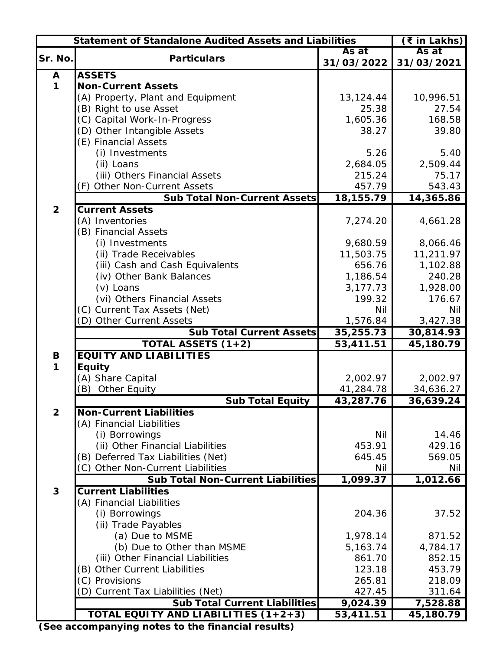| <b>Statement of Standalone Audited Assets and Liabilities</b><br>(₹ in Lakhs) |                                          |            |            |  |  |
|-------------------------------------------------------------------------------|------------------------------------------|------------|------------|--|--|
|                                                                               | As at                                    |            |            |  |  |
| Sr. No.                                                                       | <b>Particulars</b>                       | 31/03/2022 | 31/03/2021 |  |  |
| A                                                                             | <b>ASSETS</b>                            |            |            |  |  |
| $\mathbf{1}$                                                                  | <b>Non-Current Assets</b>                |            |            |  |  |
|                                                                               | (A) Property, Plant and Equipment        | 13,124.44  | 10,996.51  |  |  |
|                                                                               | (B) Right to use Asset                   | 25.38      | 27.54      |  |  |
|                                                                               | (C) Capital Work-In-Progress             | 1,605.36   | 168.58     |  |  |
|                                                                               | (D) Other Intangible Assets              | 38.27      | 39.80      |  |  |
|                                                                               | (E) Financial Assets                     |            |            |  |  |
|                                                                               | (i) Investments                          | 5.26       | 5.40       |  |  |
|                                                                               | (ii) Loans                               | 2,684.05   | 2,509.44   |  |  |
|                                                                               | (iii) Others Financial Assets            | 215.24     | 75.17      |  |  |
|                                                                               | (F) Other Non-Current Assets             | 457.79     | 543.43     |  |  |
|                                                                               | <b>Sub Total Non-Current Assets</b>      | 18,155.79  | 14,365.86  |  |  |
| $\overline{2}$                                                                | <b>Current Assets</b>                    |            |            |  |  |
|                                                                               | (A) Inventories                          | 7,274.20   | 4,661.28   |  |  |
|                                                                               | (B) Financial Assets                     |            |            |  |  |
|                                                                               |                                          |            |            |  |  |
|                                                                               | (i) Investments                          | 9,680.59   | 8,066.46   |  |  |
|                                                                               | (ii) Trade Receivables                   | 11,503.75  | 11,211.97  |  |  |
|                                                                               | (iii) Cash and Cash Equivalents          | 656.76     | 1,102.88   |  |  |
|                                                                               | (iv) Other Bank Balances                 | 1,186.54   | 240.28     |  |  |
|                                                                               | (v) Loans                                | 3,177.73   | 1,928.00   |  |  |
|                                                                               | (vi) Others Financial Assets             | 199.32     | 176.67     |  |  |
|                                                                               | (C) Current Tax Assets (Net)             | <b>Nil</b> | <b>Nil</b> |  |  |
|                                                                               | (D) Other Current Assets                 | 1,576.84   | 3,427.38   |  |  |
|                                                                               | <b>Sub Total Current Assets</b>          | 35,255.73  | 30,814.93  |  |  |
|                                                                               | TOTAL ASSETS $(1+2)$                     | 53,411.51  | 45,180.79  |  |  |
| B                                                                             | <b>EQUITY AND LIABILITIES</b>            |            |            |  |  |
| $\mathbf 1$                                                                   | Equity                                   |            |            |  |  |
|                                                                               | (A) Share Capital                        | 2,002.97   | 2,002.97   |  |  |
|                                                                               | <b>Other Equity</b><br>(B)               | 41,284.78  | 34,636.27  |  |  |
|                                                                               | <b>Sub Total Equity</b>                  | 43,287.76  | 36,639.24  |  |  |
| $\overline{2}$                                                                | <b>Non-Current Liabilities</b>           |            |            |  |  |
|                                                                               | (A) Financial Liabilities                |            |            |  |  |
|                                                                               | (i) Borrowings                           | <b>Nil</b> | 14.46      |  |  |
|                                                                               | (ii) Other Financial Liabilities         | 453.91     | 429.16     |  |  |
|                                                                               | (B) Deferred Tax Liabilities (Net)       | 645.45     | 569.05     |  |  |
|                                                                               | (C) Other Non-Current Liabilities        | <b>Nil</b> | Nil        |  |  |
|                                                                               | <b>Sub Total Non-Current Liabilities</b> | 1,099.37   | 1,012.66   |  |  |
| 3                                                                             | <b>Current Liabilities</b>               |            |            |  |  |
|                                                                               | (A) Financial Liabilities                |            |            |  |  |
|                                                                               | (i) Borrowings                           | 204.36     | 37.52      |  |  |
|                                                                               | (ii) Trade Payables                      |            |            |  |  |
|                                                                               | (a) Due to MSME                          | 1,978.14   | 871.52     |  |  |
|                                                                               | (b) Due to Other than MSME               | 5,163.74   | 4,784.17   |  |  |
|                                                                               | (iii) Other Financial Liabilities        | 861.70     | 852.15     |  |  |
|                                                                               | (B) Other Current Liabilities            | 123.18     | 453.79     |  |  |
|                                                                               | (C) Provisions                           | 265.81     | 218.09     |  |  |
|                                                                               | (D) Current Tax Liabilities (Net)        | 427.45     | 311.64     |  |  |
|                                                                               | <b>Sub Total Current Liabilities</b>     | 9,024.39   | 7,528.88   |  |  |
|                                                                               | TOTAL EQUITY AND LIABILITIES (1+2+3)     | 53,411.51  | 45,180.79  |  |  |
|                                                                               |                                          |            |            |  |  |

**(See accompanying notes to the financial results)**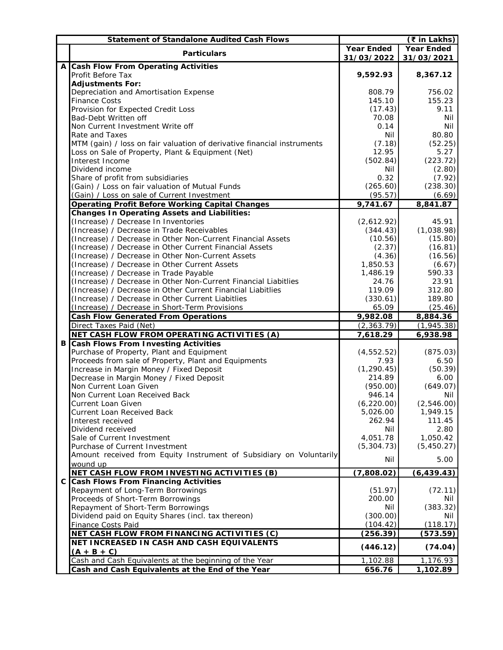|    | <b>Statement of Standalone Audited Cash Flows</b>                           |                   | $($ ₹ in Lakhs)   |
|----|-----------------------------------------------------------------------------|-------------------|-------------------|
|    |                                                                             | <b>Year Ended</b> | <b>Year Ended</b> |
|    | <b>Particulars</b>                                                          | 31/03/2022        | 31/03/2021        |
|    | A Cash Flow From Operating Activities                                       |                   |                   |
|    | <b>Profit Before Tax</b>                                                    | 9,592.93          | 8,367.12          |
|    | <b>Adjustments For:</b>                                                     |                   |                   |
|    | Depreciation and Amortisation Expense                                       | 808.79            | 756.02            |
|    | <b>Finance Costs</b>                                                        | 145.10            | 155.23            |
|    | Provision for Expected Credit Loss                                          | (17.43)           | 9.11              |
|    | <b>Bad-Debt Written off</b>                                                 | 70.08             | Nil               |
|    | Non Current Investment Write off                                            | 0.14              | <b>Nil</b>        |
|    | <b>Rate and Taxes</b>                                                       | Nil               | 80.80             |
|    | MTM (gain) / loss on fair valuation of derivative financial instruments     | (7.18)            | (52.25)           |
|    |                                                                             | 12.95             | 5.27              |
|    | Loss on Sale of Property, Plant & Equipment (Net)<br><b>Interest Income</b> |                   | (223.72)          |
|    |                                                                             | (502.84)          |                   |
|    | Dividend income                                                             | Nil               | (2.80)            |
|    | Share of profit from subsidiaries                                           | 0.32              | (7.92)            |
|    | (Gain) / Loss on fair valuation of Mutual Funds                             | (265.60)          | (238.30)          |
|    | (Gain) / Loss on sale of Current Investment                                 | (95.57)           | (6.69)            |
|    | Operating Profit Before Working Capital Changes                             | 9,741.67          | 8,841.87          |
|    | <b>Changes In Operating Assets and Liabilities:</b>                         |                   |                   |
|    | (Increase) / Decrease In Inventories                                        | (2,612.92)        | 45.91             |
|    | (Increase) / Decrease in Trade Receivables                                  | (344.43)          | (1,038.98)        |
|    | (Increase) / Decrease in Other Non-Current Financial Assets                 | (10.56)           | (15.80)           |
|    | (Increase) / Decrease in Other Current Financial Assets                     | (2.37)            | (16.81)           |
|    | (Increase) / Decrease in Other Non-Current Assets                           | (4.36)            | (16.56)           |
|    | (Increase) / Decrease in Other Current Assets                               | 1,850.53          | (6.67)            |
|    | (Increase) / Decrease in Trade Payable                                      | 1,486.19          | 590.33            |
|    | (Increase) / Decrease in Other Non-Current Financial Liabitlies             | 24.76             | 23.91             |
|    | (Increase) / Decrease in Other Current Financial Liabitlies                 | 119.09            | 312.80            |
|    | (Increase) / Decrease in Other Current Liabitlies                           | (330.61)          | 189.80            |
|    | (Increase) / Decrease in Short-Term Provisions                              | 65.09             | (25.46)           |
|    | <b>Cash Flow Generated From Operations</b>                                  | 9,982.08          | 8,884.36          |
|    | Direct Taxes Paid (Net)                                                     | (2, 363.79)       | (1,945.38)        |
|    | NET CASH FLOW FROM OPERATING ACTIVITIES (A)                                 | 7,618.29          | 6,938.98          |
|    | <b>B Cash Flows From Investing Activities</b>                               |                   |                   |
|    | Purchase of Property, Plant and Equipment                                   | (4, 552.52)       | (875.03)          |
|    | Proceeds from sale of Property, Plant and Equipments                        | 7.93              | 6.50              |
|    | Increase in Margin Money / Fixed Deposit                                    | (1, 290.45)       | (50.39)           |
|    | Decrease in Margin Money / Fixed Deposit                                    | 214.89            | 6.00              |
|    | Non Current Loan Given                                                      | (950.00)          | (649.07)          |
|    | Non Current Loan Received Back                                              | 946.14            |                   |
|    |                                                                             | (6, 220.00)       | Nil<br>(2,546.00) |
|    | <b>Current Loan Given</b>                                                   |                   |                   |
|    | <b>Current Loan Received Back</b>                                           | 5,026.00          | 1,949.15          |
|    | Interest received                                                           | 262.94            | 111.45            |
|    | Dividend received                                                           | Nil               | 2.80              |
|    | Sale of Current Investment                                                  | 4,051.78          | 1,050.42          |
|    | <b>Purchase of Current Investment</b>                                       | (5,304.73)        | (5,450.27)        |
|    | Amount received from Equity Instrument of Subsidiary on Voluntarily         | Nil               | 5.00              |
|    | wound up                                                                    |                   |                   |
|    | NET CASH FLOW FROM INVESTING ACTIVITIES (B)                                 | (7,808.02)        | (6, 439.43)       |
| C. | <b>Cash Flows From Financing Activities</b>                                 |                   |                   |
|    | <b>Repayment of Long-Term Borrowings</b>                                    | (51.97)           | (72.11)           |
|    | Proceeds of Short-Term Borrowings                                           | 200.00            | Nil               |
|    | <b>Repayment of Short-Term Borrowings</b>                                   | Nil               | (383.32)          |
|    | Dividend paid on Equity Shares (incl. tax thereon)                          | (300.00)          | Nil               |
|    | <b>Finance Costs Paid</b>                                                   | (104.42)          | (118.17)          |
|    | NET CASH FLOW FROM FINANCING ACTIVITIES (C)                                 | (256.39)          | (573.59)          |
|    | NET INCREASED IN CASH AND CASH EQUIVALENTS                                  |                   |                   |
|    | $(A + B + C)$                                                               | (446.12)          | (74.04)           |
|    | Cash and Cash Equivalents at the beginning of the Year                      | 1,102.88          | 1,176.93          |
|    | Cash and Cash Equivalents at the End of the Year                            | 656.76            | 1,102.89          |
|    |                                                                             |                   |                   |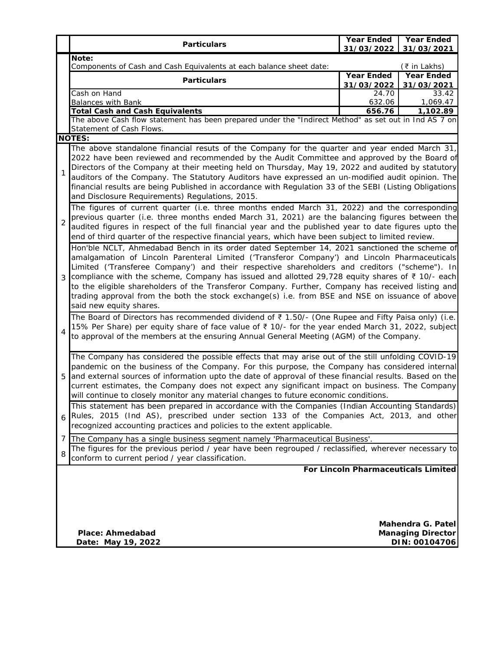| <b>Particulars</b>                                                                                                                                                                                                                                                                                                                                                                                                                                                                                                                                                                                                                              | <b>Year Ended</b><br>31/03/2022                                                                                               | <b>Year Ended</b><br>31/03/2021 |  |  |  |
|-------------------------------------------------------------------------------------------------------------------------------------------------------------------------------------------------------------------------------------------------------------------------------------------------------------------------------------------------------------------------------------------------------------------------------------------------------------------------------------------------------------------------------------------------------------------------------------------------------------------------------------------------|-------------------------------------------------------------------------------------------------------------------------------|---------------------------------|--|--|--|
| Note:                                                                                                                                                                                                                                                                                                                                                                                                                                                                                                                                                                                                                                           |                                                                                                                               |                                 |  |  |  |
|                                                                                                                                                                                                                                                                                                                                                                                                                                                                                                                                                                                                                                                 | Components of Cash and Cash Equivalents at each balance sheet date:<br>(₹ in Lakhs)<br><b>Year Ended</b><br><b>Year Ended</b> |                                 |  |  |  |
| <b>Particulars</b>                                                                                                                                                                                                                                                                                                                                                                                                                                                                                                                                                                                                                              | 31/03/2022                                                                                                                    | 31/03/2021                      |  |  |  |
| Cash on Hand                                                                                                                                                                                                                                                                                                                                                                                                                                                                                                                                                                                                                                    | 24.70                                                                                                                         | 33.42                           |  |  |  |
| <b>Balances with Bank</b>                                                                                                                                                                                                                                                                                                                                                                                                                                                                                                                                                                                                                       | 632.06                                                                                                                        | 1,069.47                        |  |  |  |
| <b>Total Cash and Cash Equivalents</b><br>The above Cash flow statement has been prepared under the "Indirect Method" as set out in Ind AS 7 on                                                                                                                                                                                                                                                                                                                                                                                                                                                                                                 | 656.76                                                                                                                        | 1,102.89                        |  |  |  |
| Statement of Cash Flows.                                                                                                                                                                                                                                                                                                                                                                                                                                                                                                                                                                                                                        |                                                                                                                               |                                 |  |  |  |
| <b>NOTES:</b>                                                                                                                                                                                                                                                                                                                                                                                                                                                                                                                                                                                                                                   |                                                                                                                               |                                 |  |  |  |
| The above standalone financial resuts of the Company for the quarter and year ended March 31,<br>2022 have been reviewed and recommended by the Audit Committee and approved by the Board of<br>Directors of the Company at their meeting held on Thursday, May 19, 2022 and audited by statutory<br>1<br>auditors of the Company. The Statutory Auditors have expressed an un-modified audit opinion. The<br>financial results are being Published in accordance with Regulation 33 of the SEBI (Listing Obligations<br>and Disclosure Requirements) Regulations, 2015.                                                                        |                                                                                                                               |                                 |  |  |  |
| The figures of current quarter (i.e. three months ended March 31, 2022) and the corresponding<br>previous quarter (i.e. three months ended March 31, 2021) are the balancing figures between the<br>$\overline{2}$<br>audited figures in respect of the full financial year and the published year to date figures upto the<br>end of third quarter of the respective financial years, which have been subject to limited review.                                                                                                                                                                                                               |                                                                                                                               |                                 |  |  |  |
| Hon'ble NCLT, Ahmedabad Bench in its order dated September 14, 2021 sanctioned the scheme of<br>amalgamation of Lincoln Parenteral Limited ('Transferor Company') and Lincoln Pharmaceuticals<br>Limited ('Transferee Company') and their respective shareholders and creditors ("scheme"). In<br>compliance with the scheme, Company has issued and allotted 29,728 equity shares of $\bar{\tau}$ 10/- each<br>to the eligible shareholders of the Transferor Company. Further, Company has received listing and<br>trading approval from the both the stock exchange(s) i.e. from BSE and NSE on issuance of above<br>said new equity shares. |                                                                                                                               |                                 |  |  |  |
| The Board of Directors has recommended dividend of $\overline{z}$ 1.50/- (One Rupee and Fifty Paisa only) (i.e.<br>15% Per Share) per equity share of face value of ₹ 10/- for the year ended March 31, 2022, subject<br>4<br>to approval of the members at the ensuring Annual General Meeting (AGM) of the Company.                                                                                                                                                                                                                                                                                                                           |                                                                                                                               |                                 |  |  |  |
| The Company has considered the possible effects that may arise out of the still unfolding COVID-19<br>pandemic on the business of the Company. For this purpose, the Company has considered internal<br>and external sources of information upto the date of approval of these financial results. Based on the<br>5<br>current estimates, the Company does not expect any significant impact on business. The Company<br>will continue to closely monitor any material changes to future economic conditions.                                                                                                                                   |                                                                                                                               |                                 |  |  |  |
| This statement has been prepared in accordance with the Companies (Indian Accounting Standards)<br>Rules, 2015 (Ind AS), prescribed under section 133 of the Companies Act, 2013, and other<br>recognized accounting practices and policies to the extent applicable.                                                                                                                                                                                                                                                                                                                                                                           |                                                                                                                               |                                 |  |  |  |
| 7<br>The Company has a single business segment namely 'Pharmaceutical Business'.                                                                                                                                                                                                                                                                                                                                                                                                                                                                                                                                                                |                                                                                                                               |                                 |  |  |  |
| The figures for the previous period / year have been regrouped / reclassified, wherever necessary to<br>8<br>conform to current period / year classification.                                                                                                                                                                                                                                                                                                                                                                                                                                                                                   |                                                                                                                               |                                 |  |  |  |
| For Lincoln Pharmaceuticals Limited<br>Mahendra G. Patel<br>Place: Ahmedabad<br><b>Managing Director</b>                                                                                                                                                                                                                                                                                                                                                                                                                                                                                                                                        |                                                                                                                               |                                 |  |  |  |
| Date: May 19, 2022                                                                                                                                                                                                                                                                                                                                                                                                                                                                                                                                                                                                                              |                                                                                                                               | DIN: 00104706                   |  |  |  |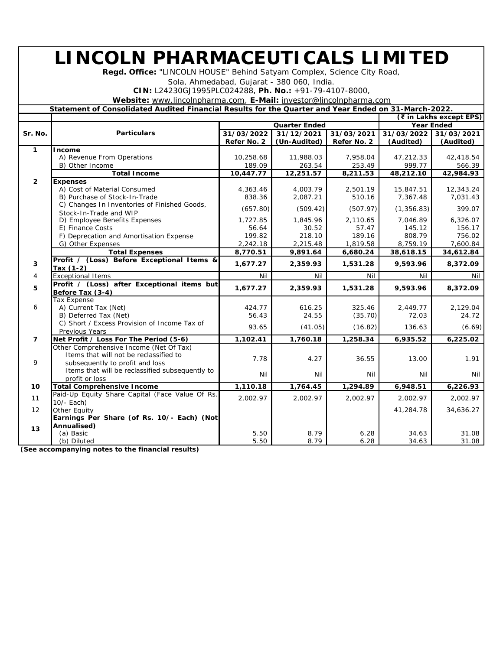## **LINCOLN PHARMACEUTICALS LIMITED**

**Regd. Office:** "LINCOLN HOUSE" Behind Satyam Complex, Science City Road,

Sola, Ahmedabad, Gujarat - 380 060, India.

**CIN:** L24230GJ1995PLC024288, **Ph. No.:** +91-79-4107-8000,

**Website:** [www.lincolnpharma.com,](http://www.lincolnpharma.com) **E-Mail:** [investor@lincolnpharma.com](mailto:investor@lincolnpharma.com)

**Statement of Consolidated Audited Financial Results for the Quarter and Year Ended on 31-March-2022.**

|                |                                                                        |                                        |              |             |                   | (₹ in Lakhs except EPS) |
|----------------|------------------------------------------------------------------------|----------------------------------------|--------------|-------------|-------------------|-------------------------|
|                |                                                                        | <b>Quarter Ended</b>                   |              |             | <b>Year Ended</b> |                         |
| Sr. No.        | <b>Particulars</b>                                                     | 31/03/2022<br>31/03/2021<br>31/12/2021 |              | 31/03/2022  | 31/03/2021        |                         |
|                |                                                                        | Refer No. 2                            | (Un-Audited) | Refer No. 2 | (Audited)         | (Audited)               |
| $\mathbf{1}$   | <b>Income</b>                                                          |                                        |              |             |                   |                         |
|                | A) Revenue From Operations                                             | 10,258.68                              | 11,988.03    | 7,958.04    | 47,212.33         | 42,418.54               |
|                | B) Other Income                                                        | 189.09                                 | 263.54       | 253.49      | 999.77            | 566.39                  |
|                | <b>Total Income</b>                                                    | 10,447.77                              | 12,251.57    | 8,211.53    | 48,212.10         | 42,984.93               |
| $\overline{2}$ | <b>Expenses</b>                                                        |                                        |              |             |                   |                         |
|                | A) Cost of Material Consumed                                           | 4,363.46                               | 4,003.79     | 2,501.19    | 15,847.51         | 12,343.24               |
|                | B) Purchase of Stock-In-Trade                                          | 838.36                                 | 2,087.21     | 510.16      | 7,367.48          | 7,031.43                |
|                | C) Changes In Inventories of Finished Goods,<br>Stock-In-Trade and WIP | (657.80)                               | (509.42)     | (507.97)    | (1, 356.83)       | 399.07                  |
|                | D) Employee Benefits Expenses                                          | 1,727.85                               | 1,845.96     | 2,110.65    | 7,046.89          | 6,326.07                |
|                | E) Finance Costs                                                       | 56.64                                  | 30.52        | 57.47       | 145.12            | 156.17                  |
|                | F) Deprecation and Amortisation Expense                                | 199.82                                 | 218.10       | 189.16      | 808.79            | 756.02                  |
|                | G) Other Expenses                                                      | 2,242.18                               | 2,215.48     | 1,819.58    | 8,759.19          | 7,600.84                |
|                | <b>Total Expenses</b>                                                  | 8,770.51                               | 9,891.64     | 6,680.24    | 38,618.15         | 34,612.84               |
| 3              | Profit / (Loss) Before Exceptional Items &<br>Tax $(1-2)$              | 1,677.27                               | 2,359.93     | 1,531.28    | 9,593.96          | 8,372.09                |
| 4              | <b>Exceptional Items</b>                                               | Nil                                    | Nil          | Nil         | Nil               | Nil                     |
| 5              | Profit / (Loss) after Exceptional items but<br>Before Tax (3-4)        | 1,677.27                               | 2,359.93     | 1,531.28    | 9,593.96          | 8,372.09                |
|                | <b>Tax Expense</b>                                                     |                                        |              |             |                   |                         |
| 6              | A) Current Tax (Net)                                                   | 424.77                                 | 616.25       | 325.46      | 2,449.77          | 2,129.04                |
|                | B) Deferred Tax (Net)                                                  | 56.43                                  | 24.55        | (35.70)     | 72.03             | 24.72                   |
|                | C) Short / Excess Provision of Income Tax of<br><b>Previous Years</b>  | 93.65                                  | (41.05)      | (16.82)     | 136.63            | (6.69)                  |
| $\overline{7}$ | Net Profit / Loss For The Period (5-6)                                 | 1,102.41                               | 1,760.18     | 1,258.34    | 6,935.52          | 6,225.02                |
|                | Other Comprehensive Income (Net Of Tax)                                |                                        |              |             |                   |                         |
|                | Items that will not be reclassified to                                 |                                        |              |             |                   |                         |
| 9              | subsequently to profit and loss                                        | 7.78                                   | 4.27         | 36.55       | 13.00             | 1.91                    |
|                | Items that will be reclassified subsequently to                        |                                        |              |             |                   |                         |
|                | profit or loss                                                         | Nil                                    | Nil          | Nil         | Nil               | Nil                     |
| 10             | <b>Total Comprehensive Income</b>                                      | 1,110.18                               | 1,764.45     | 1,294.89    | 6,948.51          | 6,226.93                |
| 11             | Paid-Up Equity Share Capital (Face Value Of Rs.<br>10/- Each)          | 2,002.97                               | 2,002.97     | 2,002.97    | 2,002.97          | 2,002.97                |
| 12             | <b>Other Equity</b>                                                    |                                        |              |             | 41,284.78         | 34,636.27               |
|                | Earnings Per Share (of Rs. 10/- Each) (Not                             |                                        |              |             |                   |                         |
|                | Annualised)                                                            |                                        |              |             |                   |                         |
| 13             | (a) Basic                                                              | 5.50                                   | 8.79         | 6.28        | 34.63             | 31.08                   |
|                | (b) Diluted                                                            | 5.50                                   | 8.79         | 6.28        | 34.63             | 31.08                   |

**(See accompanying notes to the financial results)**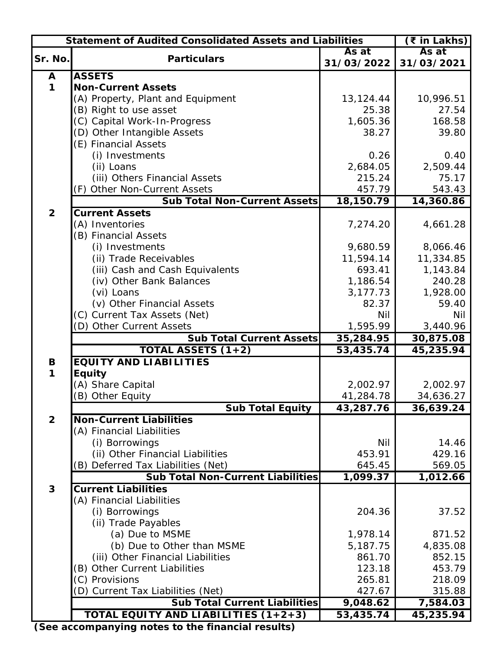| <b>Statement of Audited Consolidated Assets and Liabilities</b><br>(₹ in Lakhs) |                                          |            |            |  |  |
|---------------------------------------------------------------------------------|------------------------------------------|------------|------------|--|--|
|                                                                                 | As at<br><b>Particulars</b>              |            |            |  |  |
| Sr. No.                                                                         |                                          | 31/03/2022 | 31/03/2021 |  |  |
| A                                                                               | <b>ASSETS</b>                            |            |            |  |  |
| $\mathbf 1$                                                                     | <b>Non-Current Assets</b>                |            |            |  |  |
|                                                                                 | (A) Property, Plant and Equipment        | 13,124.44  | 10,996.51  |  |  |
|                                                                                 | (B) Right to use asset                   | 25.38      | 27.54      |  |  |
|                                                                                 | (C) Capital Work-In-Progress             | 1,605.36   | 168.58     |  |  |
|                                                                                 | (D) Other Intangible Assets              | 38.27      | 39.80      |  |  |
|                                                                                 | (E) Financial Assets                     |            |            |  |  |
|                                                                                 | (i) Investments                          | 0.26       | 0.40       |  |  |
|                                                                                 | (ii) Loans                               | 2,684.05   | 2,509.44   |  |  |
|                                                                                 | (iii) Others Financial Assets            | 215.24     | 75.17      |  |  |
|                                                                                 | (F) Other Non-Current Assets             | 457.79     | 543.43     |  |  |
|                                                                                 | <b>Sub Total Non-Current Assets</b>      | 18,150.79  | 14,360.86  |  |  |
| $\overline{2}$                                                                  | <b>Current Assets</b>                    |            |            |  |  |
|                                                                                 | (A) Inventories                          | 7,274.20   | 4,661.28   |  |  |
|                                                                                 | (B) Financial Assets                     |            |            |  |  |
|                                                                                 | (i) Investments                          | 9,680.59   | 8,066.46   |  |  |
|                                                                                 | (ii) Trade Receivables                   | 11,594.14  | 11,334.85  |  |  |
|                                                                                 | (iii) Cash and Cash Equivalents          | 693.41     | 1,143.84   |  |  |
|                                                                                 | (iv) Other Bank Balances                 | 1,186.54   | 240.28     |  |  |
|                                                                                 | (vi) Loans                               | 3,177.73   | 1,928.00   |  |  |
|                                                                                 | (v) Other Financial Assets               | 82.37      | 59.40      |  |  |
|                                                                                 | (C) Current Tax Assets (Net)             | <b>Nil</b> | Nil        |  |  |
|                                                                                 | (D) Other Current Assets                 | 1,595.99   | 3,440.96   |  |  |
|                                                                                 | <b>Sub Total Current Assets</b>          | 35,284.95  | 30,875.08  |  |  |
|                                                                                 | TOTAL ASSETS $(1+2)$                     | 53,435.74  | 45,235.94  |  |  |
| B                                                                               | <b>EQUITY AND LIABILITIES</b>            |            |            |  |  |
| $\mathbf 1$                                                                     | <b>Equity</b>                            |            |            |  |  |
|                                                                                 | (A) Share Capital                        | 2,002.97   | 2,002.97   |  |  |
|                                                                                 | (B) Other Equity                         | 41,284.78  | 34,636.27  |  |  |
|                                                                                 | <b>Sub Total Equity</b>                  | 43,287.76  | 36,639.24  |  |  |
| $\overline{2}$                                                                  | <b>Non-Current Liabilities</b>           |            |            |  |  |
|                                                                                 | (A) Financial Liabilities                |            |            |  |  |
|                                                                                 | (i) Borrowings                           | <b>Nil</b> | 14.46      |  |  |
|                                                                                 | (ii) Other Financial Liabilities         | 453.91     | 429.16     |  |  |
|                                                                                 | (B) Deferred Tax Liabilities (Net)       | 645.45     | 569.05     |  |  |
|                                                                                 | <b>Sub Total Non-Current Liabilities</b> | 1,099.37   | 1,012.66   |  |  |
| 3                                                                               | <b>Current Liabilities</b>               |            |            |  |  |
|                                                                                 | (A) Financial Liabilities                |            |            |  |  |
|                                                                                 | (i) Borrowings                           | 204.36     | 37.52      |  |  |
|                                                                                 | (ii) Trade Payables                      |            |            |  |  |
|                                                                                 | (a) Due to MSME                          | 1,978.14   | 871.52     |  |  |
|                                                                                 | (b) Due to Other than MSME               | 5,187.75   | 4,835.08   |  |  |
|                                                                                 | (iii) Other Financial Liabilities        | 861.70     | 852.15     |  |  |
|                                                                                 | (B) Other Current Liabilities            | 123.18     | 453.79     |  |  |
|                                                                                 | (C) Provisions                           | 265.81     | 218.09     |  |  |
|                                                                                 | (D) Current Tax Liabilities (Net)        | 427.67     | 315.88     |  |  |
|                                                                                 | <b>Sub Total Current Liabilities</b>     | 9,048.62   | 7,584.03   |  |  |
|                                                                                 | TOTAL EQUITY AND LIABILITIES (1+2+3)     | 53,435.74  | 45,235.94  |  |  |

**(See accompanying notes to the financial results)**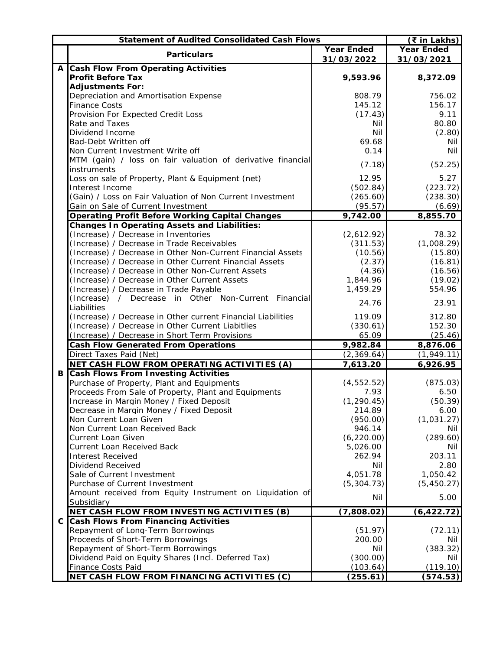|  | $(5$ in Lakhs)                                                                              |                   |                   |
|--|---------------------------------------------------------------------------------------------|-------------------|-------------------|
|  |                                                                                             | <b>Year Ended</b> | <b>Year Ended</b> |
|  | <b>Particulars</b>                                                                          | 31/03/2022        | 31/03/2021        |
|  | A Cash Flow From Operating Activities                                                       |                   |                   |
|  | <b>Profit Before Tax</b>                                                                    | 9,593.96          | 8,372.09          |
|  | <b>Adjustments For:</b>                                                                     |                   |                   |
|  | Depreciation and Amortisation Expense                                                       | 808.79            | 756.02            |
|  | <b>Finance Costs</b>                                                                        | 145.12            | 156.17            |
|  | Provision For Expected Credit Loss                                                          | (17.43)           | 9.11              |
|  | Rate and Taxes                                                                              | Nil               | 80.80             |
|  | <b>Dividend Income</b>                                                                      | Nil               | (2.80)            |
|  | <b>Bad-Debt Written off</b>                                                                 | 69.68             | Nil               |
|  | Non Current Investment Write off                                                            | 0.14              | Nil               |
|  | MTM (gain) / loss on fair valuation of derivative financial                                 |                   |                   |
|  | instruments                                                                                 | (7.18)            | (52.25)           |
|  | Loss on sale of Property, Plant & Equipment (net)                                           | 12.95             | 5.27              |
|  | Interest Income                                                                             | (502.84)          | (223.72)          |
|  | (Gain) / Loss on Fair Valuation of Non Current Investment                                   | (265.60)          | (238.30)          |
|  | Gain on Sale of Current Investment                                                          | (95.57)           | (6.69)            |
|  | <b>Operating Profit Before Working Capital Changes</b>                                      | 9,742.00          | 8,855.70          |
|  |                                                                                             |                   |                   |
|  | <b>Changes In Operating Assets and Liabilities:</b><br>(Increase) / Decrease in Inventories | (2,612.92)        | 78.32             |
|  | (Increase) / Decrease in Trade Receivables                                                  |                   | (1,008.29)        |
|  |                                                                                             | (311.53)          |                   |
|  | (Increase) / Decrease in Other Non-Current Financial Assets                                 | (10.56)           | (15.80)           |
|  | (Increase) / Decrease in Other Current Financial Assets                                     | (2.37)            | (16.81)           |
|  | (Increase) / Decrease in Other Non-Current Assets                                           | (4.36)            | (16.56)           |
|  | (Increase) / Decrease in Other Current Assets                                               | 1,844.96          | (19.02)           |
|  | (Increase) / Decrease in Trade Payable                                                      | 1,459.29          | 554.96            |
|  | (Increase) / Decrease in Other Non-Current Financial                                        | 24.76             | 23.91             |
|  | Liabilities                                                                                 |                   |                   |
|  | (Increase) / Decrease in Other current Financial Liabilities                                | 119.09            | 312.80            |
|  | (Increase) / Decrease in Other Current Liabitlies                                           | (330.61)          | 152.30            |
|  | (Increase) / Decrease in Short Term Provisions                                              | 65.09             | (25.46)           |
|  | <b>Cash Flow Generated From Operations</b>                                                  | 9,982.84          | 8,876.06          |
|  | Direct Taxes Paid (Net)                                                                     | (2,369.64)        | (1,949.11)        |
|  | NET CASH FLOW FROM OPERATING ACTIVITIES (A)                                                 | 7,613.20          | 6,926.95          |
|  | <b>B Cash Flows From Investing Activities</b>                                               |                   |                   |
|  | Purchase of Property, Plant and Equipments                                                  | (4, 552.52)       | (875.03)          |
|  | Proceeds From Sale of Property, Plant and Equipments                                        | 7.93              | 6.50              |
|  | Increase in Margin Money / Fixed Deposit                                                    | (1, 290.45)       | (50.39)           |
|  | Decrease in Margin Money / Fixed Deposit                                                    | 214.89            | 6.00              |
|  | Non Current Loan Given                                                                      | (950.00)          | (1,031.27)        |
|  | Non Current Loan Received Back                                                              | 946.14            | Nil               |
|  | <b>Current Loan Given</b>                                                                   | (6, 220.00)       | (289.60)          |
|  | <b>Current Loan Received Back</b>                                                           | 5,026.00          | Nil               |
|  | <b>Interest Received</b>                                                                    | 262.94            | 203.11            |
|  | <b>Dividend Received</b>                                                                    | Nil               | 2.80              |
|  | Sale of Current Investment                                                                  | 4,051.78          | 1,050.42          |
|  | <b>Purchase of Current Investment</b>                                                       | (5, 304.73)       | (5,450.27)        |
|  | Amount received from Equity Instrument on Liquidation of                                    | Nil               | 5.00              |
|  | Subsidiary                                                                                  |                   |                   |
|  | NET CASH FLOW FROM INVESTING ACTIVITIES (B)                                                 | (7,808.02)        | (6, 422.72)       |
|  | C Cash Flows From Financing Activities                                                      |                   |                   |
|  | <b>Repayment of Long-Term Borrowings</b>                                                    | (51.97)           | (72.11)           |
|  | Proceeds of Short-Term Borrowings                                                           | 200.00            | Nil               |
|  | <b>Repayment of Short-Term Borrowings</b>                                                   | Nil               | (383.32)          |
|  | Dividend Paid on Equity Shares (Incl. Deferred Tax)                                         | (300.00)          | Nil               |
|  | <b>Finance Costs Paid</b>                                                                   | (103.64)          | (119.10)          |
|  | NET CASH FLOW FROM FINANCING ACTIVITIES (C)                                                 | (255.61)          | (574.53)          |